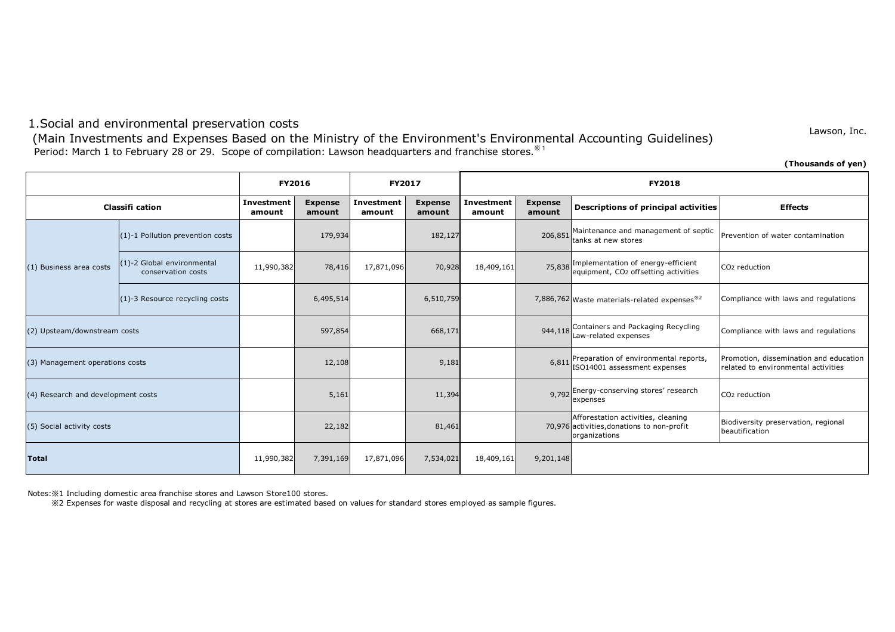# 1.Social and environmental preservation costs

Period: March 1 to February 28 or 29. Scope of compilation: Lawson headquarters and franchise stores. \* 1 (Main Investments and Expenses Based on the Ministry of the Environment's Environmental Accounting Guidelines)

Lawson, Inc.

|                                    |                                                  |                             |                          |                             |                          |                             |                          |                                                                                                   | (Thousands of yen)                                                            |
|------------------------------------|--------------------------------------------------|-----------------------------|--------------------------|-----------------------------|--------------------------|-----------------------------|--------------------------|---------------------------------------------------------------------------------------------------|-------------------------------------------------------------------------------|
|                                    |                                                  | <b>FY2016</b>               |                          | <b>FY2017</b>               |                          | <b>FY2018</b>               |                          |                                                                                                   |                                                                               |
| <b>Classifi cation</b>             |                                                  | <b>Investment</b><br>amount | <b>Expense</b><br>amount | <b>Investment</b><br>amount | <b>Expense</b><br>amount | <b>Investment</b><br>amount | <b>Expense</b><br>amount | <b>Descriptions of principal activities</b>                                                       | <b>Effects</b>                                                                |
| (1) Business area costs            | (1)-1 Pollution prevention costs                 |                             | 179,934                  |                             | 182,127                  |                             | 206,851                  | Maintenance and management of septic<br>tanks at new stores                                       | Prevention of water contamination                                             |
|                                    | (1)-2 Global environmental<br>conservation costs | 11,990,382                  | 78,416                   | 17,871,096                  | 70,928                   | 18,409,161                  |                          | 75,838 Implementation of energy-efficient<br>equipment, CO <sub>2</sub> offsetting activities     | CO <sub>2</sub> reduction                                                     |
|                                    | (1)-3 Resource recycling costs                   |                             | 6,495,514                |                             | 6,510,759                |                             |                          | 7,886,762 Waste materials-related expenses <sup>32</sup>                                          | Compliance with laws and regulations                                          |
| (2) Upsteam/downstream costs       |                                                  |                             | 597,854                  |                             | 668,171                  |                             | 944,118                  | Containers and Packaging Recycling<br>Law-related expenses                                        | Compliance with laws and regulations                                          |
| (3) Management operations costs    |                                                  |                             | 12,108                   |                             | 9,181                    |                             | 6,811                    | Preparation of environmental reports,<br>ISO14001 assessment expenses                             | Promotion, dissemination and education<br>related to environmental activities |
| (4) Research and development costs |                                                  |                             | 5,161                    |                             | 11,394                   |                             | 9,792                    | Energy-conserving stores' research<br>expenses                                                    | CO <sub>2</sub> reduction                                                     |
| (5) Social activity costs          |                                                  |                             | 22,182                   |                             | 81,461                   |                             |                          | Afforestation activities, cleaning<br>70,976 activities, donations to non-profit<br>organizations | Biodiversity preservation, regional<br>beautification                         |
| Total                              |                                                  | 11,990,382                  | 7,391,169                | 17,871,096                  | 7,534,021                | 18,409,161                  | 9,201,148                |                                                                                                   |                                                                               |

Notes:※1 Including domestic area franchise stores and Lawson Store100 stores.

※2 Expenses for waste disposal and recycling at stores are estimated based on values for standard stores employed as sample figures.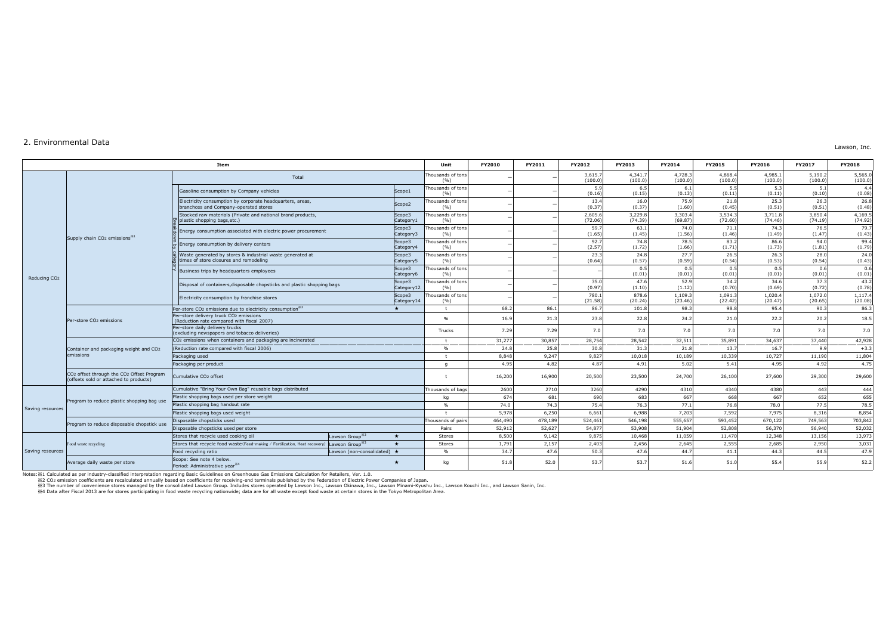#### 2. Environmental Data

**Unit FY2010 FY2011 FY2012 FY2013 FY2014 FY2015 FY2016 FY2017 FY2018** housands of ton<br>(%)  $($ %)  $)$   $)$   $)$   $3,615.7$ <br> $(100.0)$ (100.0) 4,341.7  $(100.0)$ 4,728.3  $(100.0)$ 4,868.  $(100.0)$ 4,985.1  $(100.0)$ 5,190.2  $(100.0)$ 5,565.0 (100.0) Scope1  $\begin{bmatrix} \text{Thousands of ton} \\ \text{(%)} \end{bmatrix}$  $-$  5.9 and s of tons  $-$  5.9 and  $-$  5.9 and  $-$  5.9 and  $-$  5.9 and  $-$  5.9 and  $-$  5.9 and  $-$  5.9 and  $-$  5.9 and  $-$  5.9 and  $-$  5.9 and  $-$  5.9 and  $-$  5.9 and  $-$  5.9 and  $-$  5.9 and  $-$  5.9 and  $-$  5.9 and  $-$  5.9 (0.16) 6.5 (0.15) 6.1  $(0.13)$ 5.5 (0.11) 5.3 (0.11) 5.1 (0.10)  $(0.08)$ Scope2 Thousands of ton  $\begin{array}{c|c|c|c|c|c|c|c|c} \text{and} & \text{if} & \text{if} & \text{if} & \text{if} & \text{if} & \text{if} & \text{if} & \text{if} & \text{if} & \text{if} & \text{if} & \text{if} & \text{if} & \text{if} & \text{if} & \text{if} & \text{if} & \text{if} & \text{if} & \text{if} & \text{if} & \text{if} & \text{if} & \text{if} & \text{if} & \text{if} & \text{if} & \text{if} & \text{if} & \text{if} & \text{if} & \text{if}$  $(0.37)$ 16.0 (0.37) 75.0  $(1.60)$  $21.8$  $(0.45)$  $25.3$  $(0.51)$  $26.36$  $(0.51)$ (0.48) Scope3 Category1  $T$  nousands of tons  $\begin{array}{c|c|c|c|c|c|c|c|c} \hline \text{(3)} & & & & - & & & \text{(72.06)} \ \hline \end{array}$ (72.06) 3,229.8 (74.39) 3,303.4 (69.87) 3,534.3 (72.60) 3,711.8  $(74.46)$ 3,850.4  $(74.19)$ 4,169.5 (74.92) Scope3 Category3 housands of ton<br>(%) (%) <sup>ー</sup> <sup>ー</sup> 59.7  $(1.65)$ 63.1  $(1.45)$ 74.0  $(1.56)$  $71.1$  $(1.46)$ 74.3  $(1.49)$ 76.  $(1.47)$  $(1.43)$ Scope3 Category4 housands of ton  $(%)$  of tons  $(2.57)$ (2.57) 74.8 (1.72) 78.5 (1.66) 83.2 (1.71) 86.6 (1.73) 94.0 (1.81) (1.79) Scope3 ategory5 housands of ton<br>(%)  $-$  and 23.3<br>(%)  $(0.64)$ (0.64) 24.8 (0.57) 27.7 (0.59) 26.5 (0.54) 26.3 (0.53) 28.0 (0.54) (0.43)  $BSE$  usiness trips by headquarters employees  $SSE$ ategory6 housands of tons nds of tons  $(0.01)$  $(0.01)$  $0.5$  $(0.01)$  $^{\circ}$  $(0.01)$  $^{\circ}$  $(0.01)$  $0.6$  $(0.01)$  $(0.01)$ Scope3 Category12 housands of tons  $\begin{array}{c|c|c|c|c|c|c|c|c} \hline \text{ (96)} & & & & - & & & \text{ (97)} \ \hline \end{array}$ (0.97) 47.6 ۰، <sup>4</sup><br>11.10 52.9 (1.12) 34.2 (0.70) 34.6 (0.69) 37.3 (0.72) Scope3 Category14 housands of ton<br>(%)  $\begin{array}{c|c|c|c|c|c|c|c|c} \text{(780.1)} & & & & - & & \text{(780.1)} \ \text{(96)} & & & & & - & & \text{(71.58)} \ \end{array}$ (21.58) 878.6  $(20.24)$ 1,109.3  $(23.46)$ 1,091.3 (22.42) 1,020.4 (20.47) 1,072.0 (20.65) 1,117.4  $(20.08)$ ★ │ t │ 68.2│ 86.1│ 86.7│ 101.8│ 98.3│ 98.8│ 95.4│ 90.3│ 86.3 % | 16.9 21.3 23.8 22.8 24.2 21.0 22.2 20.2 20.2 18.5 Trucks 7.29 7.29 7.0 7.0 7.0 7.0 7.0 7.0 7.0 t 31,277 30,857 28,754 28,542 32,511 35,891 34,637 37,440 42,928 % | 24.8 | 25.8 | 30.8 | 31.3 | 21.8 | 13.7 | 16.7 | 9.9 +3.3 t | 8,848 9,247 9,827 10,018 10,189 10,339 10,727 11,190 11,804 g 4.95 4.82 4.87 4.91 5.02 5.41 4.95 4.92 4.75 CO2 offset through the CO2 Offset Program (offsets sold or attached to products) <sup>t</sup> 16,200 16,900 20,500 23,500 24,700 26,100 27,600 29,300 29,600 Thousands of bags| 2600| 2710| 3260| 4290| 4310| 4340| 4380| 443| 444 kg | 674 681 681 690 683 667 668 668 667 652 655 % 74.0 74.3 75.4 76.3 77.1 76.8 78.0 77.5 78.5 t | 5,978 6,250 6,661 6,988 7,203 7,592 7,975 8,316 8,854 Thousands of pairs 464,490 478,189 524,461 546,198 555,657 593,452 670,122 749,563 703,842 Pairs 52,912 52,627 54,877 53,908 51,904 52,808 56,370 56,940 52,032 Stores that recycle used cooking oil Lawson Group※<sup>3</sup> ★ Stores 8,500 9,142 9,875 10,468 11,059 11,470 12,348 13,156 13,973 Stores that recycle food waste(Feed-making / Fertilization, Heat recovery) Lawson Group<sup>※3</sup> ★ Stores 1,791 2,157 2,403 2,456 2,645 2,555 2,685 2,950 3,031 3,031 Food recycling ratio Lawson (non-consolidated) ★ % 34.7 47.6 50.3 47.6 44.7 41.1 44.3 44.5 47.9 Container and packaging weight and CO2 emissions Total **Item** CO2 emissions when containers and packaging are incinerated Electricity consumption by franchise stores Per-store daily delivery trucks excluding newspapers and tobacco deliveries) Per-store CO2 emissions due to electricity consumption※<sup>2</sup> Per-store delivery truck CO2 emissions (Reduction rate compared with fiscal 2007) Disposable chopsticks used per store Saving resources ood waste recycling Saving resources Program to reduce disposable chopstick use Plastic shopping bags used weight Plastic shopping bag handout rate Scope: See note 4 below. Program to reduce plastic shopping bag use Cumulative "Bring Your Own Bag" reusable bags distributed Plastic shopping bags used per store weight Disposable chopsticks used Supply chain CO<sub>2</sub> emissions<sup>※1</sup> Reducing CO2 er-store CO<sub>2</sub> emissions Gasoline consumption by Company vehicles Energy consumption associated with electric power procurement nergy consumption by delivery centers Electricity consumption by corporate headquarters, areas, branchces and Company-operated stores Cumulative CO2 offset Packaging used isposal of containers,disposable chopsticks and plastic shopping bags Waste generated by stores & industrial waste generated at mes of store closures and remodeling Stocked raw materials (Private and national brand products, plastic shopping bags,etc.) Breakdown by category Packaging per product (Reduction rate compared with fiscal 2006)

Average daily waste per store ★ kg 51.8 52.0 53.7 53.7 51.6 51.0 55.4 55.9 52.2

Notes:※1 Calculated as per industry-classified interpretation regarding Basic Guidelines on Greenhouse Gas Emissions Calculation for Retailers, Ver. 1.0. Period: Administrative year<sup>※4</sup>

※2 CO2 emission coefficients are recalculated annually based on coefficients for receiving-end terminals published by the Federation of Electric Power Companies of Japan.

※3 The number of convenience stores managed by the consolidated Lawson Group. Includes stores operated by Lawson Inc., Lawson Okinawa, Inc., Lawson Minami-Kyushu Inc., Lawson Kouchi Inc., and Lawson Sanin, Inc.

※4 Data after Fiscal 2013 are for stores participating in food waste recycling nationwide; data are for all waste except food waste at certain stores in the Tokyo Metropolitan Area.

Lawson, Inc.

4.4

 $26.8$ 

79.7

99.4

24.0

 $0.6$ 

43.2 (0.78)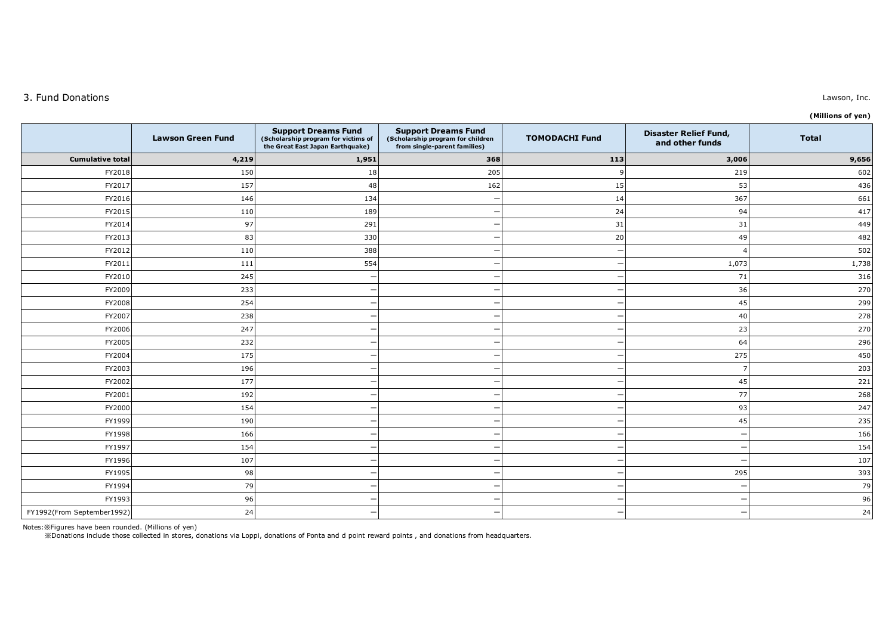## 3. Fund Donations

**(Millions of yen)**

|                            | <b>Lawson Green Fund</b> | <b>Support Dreams Fund</b><br>(Scholarship program for victims of<br>the Great East Japan Earthquake) | <b>Support Dreams Fund</b><br>(Scholarship program for children<br>from single-parent families) | <b>TOMODACHI Fund</b> | <b>Disaster Relief Fund,</b><br>and other funds | <b>Total</b> |
|----------------------------|--------------------------|-------------------------------------------------------------------------------------------------------|-------------------------------------------------------------------------------------------------|-----------------------|-------------------------------------------------|--------------|
| <b>Cumulative total</b>    | 4,219                    | 1,951                                                                                                 | 368                                                                                             | 113                   | 3,006                                           | 9,656        |
| FY2018                     | 150                      | 18                                                                                                    | 205                                                                                             |                       | 219                                             | 602          |
| FY2017                     | 157                      | 48                                                                                                    | 162                                                                                             | 15                    | 53                                              | 436          |
| FY2016                     | 146                      | 134                                                                                                   |                                                                                                 | 14                    | 367                                             | 661          |
| FY2015                     | 110                      | 189                                                                                                   | -                                                                                               | 24                    | 94                                              | 417          |
| FY2014                     | 97                       | 291                                                                                                   |                                                                                                 | 31                    | 31                                              | 449          |
| FY2013                     | 83                       | 330                                                                                                   |                                                                                                 | 20                    | 49                                              | 482          |
| FY2012                     | 110                      | 388                                                                                                   |                                                                                                 |                       |                                                 | 502          |
| FY2011                     | 111                      | 554                                                                                                   |                                                                                                 |                       | 1,073                                           | 1,738        |
| FY2010                     | 245                      |                                                                                                       |                                                                                                 |                       | 71                                              | 316          |
| FY2009                     | 233                      |                                                                                                       |                                                                                                 |                       | 36                                              | 270          |
| FY2008                     | 254                      |                                                                                                       |                                                                                                 |                       | 45                                              | 299          |
| FY2007                     | 238                      |                                                                                                       |                                                                                                 |                       | 40                                              | 278          |
| FY2006                     | 247                      |                                                                                                       |                                                                                                 |                       | 23                                              | 270          |
| FY2005                     | 232                      |                                                                                                       |                                                                                                 |                       | 64                                              | 296          |
| FY2004                     | 175                      |                                                                                                       |                                                                                                 |                       | 275                                             | 450          |
| FY2003                     | 196                      |                                                                                                       |                                                                                                 |                       | J.                                              | 203          |
| FY2002                     | 177                      |                                                                                                       |                                                                                                 |                       | 45                                              | 221          |
| FY2001                     | 192                      |                                                                                                       |                                                                                                 |                       | 77                                              | 268          |
| FY2000                     | 154                      |                                                                                                       |                                                                                                 |                       | 93                                              | 247          |
| FY1999                     | 190                      |                                                                                                       |                                                                                                 |                       | 45                                              | 235          |
| FY1998                     | 166                      |                                                                                                       |                                                                                                 |                       | $\overline{\phantom{a}}$                        | 166          |
| FY1997                     | 154                      |                                                                                                       |                                                                                                 |                       | $\overline{\phantom{a}}$                        | 154          |
| FY1996                     | 107                      |                                                                                                       |                                                                                                 |                       | $\overline{\phantom{a}}$                        | 107          |
| FY1995                     | 98                       |                                                                                                       |                                                                                                 |                       | 295                                             | 393          |
| FY1994                     | 79                       |                                                                                                       |                                                                                                 |                       | $\overline{\phantom{a}}$                        | 79           |
| FY1993                     | 96                       |                                                                                                       | –                                                                                               |                       | $\overline{\phantom{0}}$                        | 96           |
| FY1992(From September1992) | 24                       |                                                                                                       |                                                                                                 |                       | $\overline{\phantom{a}}$                        | 24           |

Notes:※Figures have been rounded. (Millions of yen)<br>※Donations include those collected in stores, donations via Loppi, donations of Ponta and d point reward points , and donations from headquarters.

### Lawson, Inc.